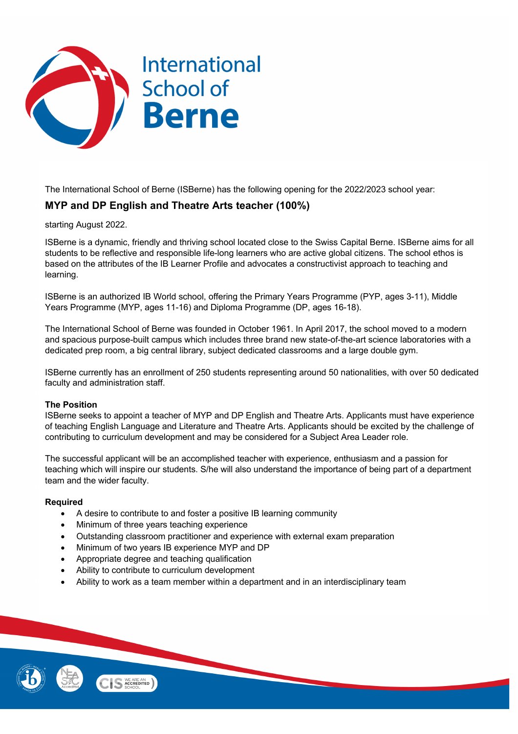

The International School of Berne (ISBerne) has the following opening for the 2022/2023 school year:

# **MYP and DP English and Theatre Arts teacher (100%)**

starting August 2022.

ISBerne is a dynamic, friendly and thriving school located close to the Swiss Capital Berne. ISBerne aims for all students to be reflective and responsible life-long learners who are active global citizens. The school ethos is based on the attributes of the IB Learner Profile and advocates a constructivist approach to teaching and learning.

ISBerne is an authorized IB World school, offering the Primary Years Programme (PYP, ages 3-11), Middle Years Programme (MYP, ages 11-16) and Diploma Programme (DP, ages 16-18).

The International School of Berne was founded in October 1961. In April 2017, the school moved to a modern and spacious purpose-built campus which includes three brand new state-of-the-art science laboratories with a dedicated prep room, a big central library, subject dedicated classrooms and a large double gym.

ISBerne currently has an enrollment of 250 students representing around 50 nationalities, with over 50 dedicated faculty and administration staff.

## **The Position**

ISBerne seeks to appoint a teacher of MYP and DP English and Theatre Arts. Applicants must have experience of teaching English Language and Literature and Theatre Arts. Applicants should be excited by the challenge of contributing to curriculum development and may be considered for a Subject Area Leader role.

The successful applicant will be an accomplished teacher with experience, enthusiasm and a passion for teaching which will inspire our students. S/he will also understand the importance of being part of a department team and the wider faculty.

#### **Required**

- A desire to contribute to and foster a positive IB learning community
- Minimum of three years teaching experience
- Outstanding classroom practitioner and experience with external exam preparation
- Minimum of two years IB experience MYP and DP
- Appropriate degree and teaching qualification
- Ability to contribute to curriculum development
- Ability to work as a team member within a department and in an interdisciplinary team